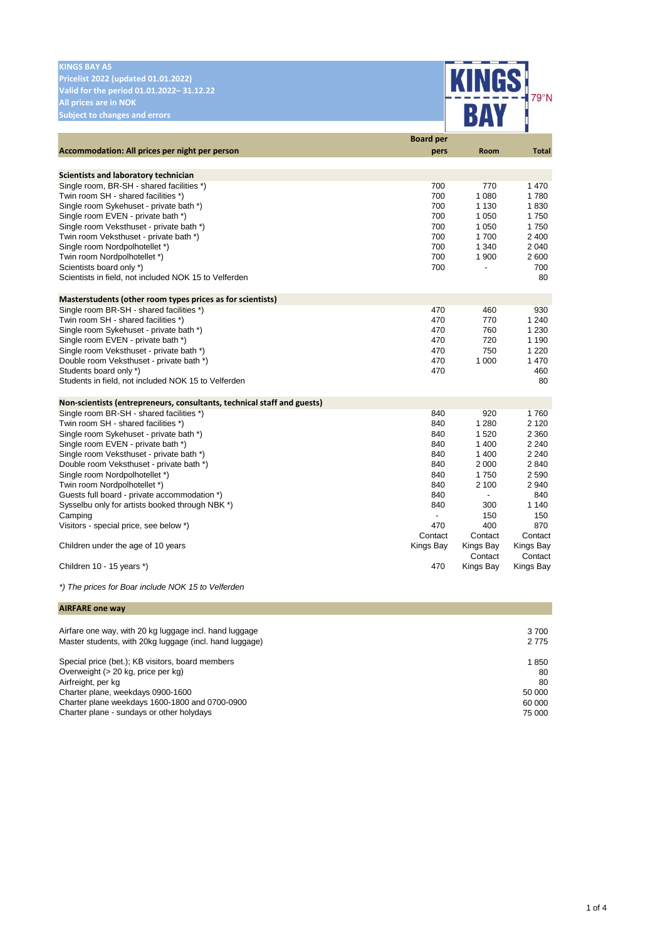| <b>KINGS BAY AS</b>                                                                  |                  |                          |                    |
|--------------------------------------------------------------------------------------|------------------|--------------------------|--------------------|
| Pricelist 2022 (updated 01.01.2022)                                                  |                  |                          |                    |
| Valid for the period 01.01.2022-31.12.22                                             |                  |                          |                    |
|                                                                                      |                  |                          | 79°N               |
| <b>All prices are in NOK</b>                                                         |                  |                          |                    |
| <b>Subject to changes and errors</b>                                                 |                  |                          |                    |
|                                                                                      | <b>Board per</b> |                          |                    |
| Accommodation: All prices per night per person                                       | pers             | Room                     | <b>Total</b>       |
|                                                                                      |                  |                          |                    |
| Scientists and laboratory technician                                                 |                  |                          |                    |
| Single room, BR-SH - shared facilities *)                                            | 700              | 770                      | 1470               |
| Twin room SH - shared facilities *)                                                  | 700              | 1 0 8 0                  | 1780               |
| Single room Sykehuset - private bath *)                                              | 700              | 1 1 3 0                  | 1830               |
| Single room EVEN - private bath *)                                                   | 700              | 1 0 5 0                  | 1750               |
| Single room Veksthuset - private bath *)                                             | 700              | 1 0 5 0                  | 1750               |
| Twin room Veksthuset - private bath *)                                               | 700              | 1700                     | 2 4 0 0            |
| Single room Nordpolhotellet *)                                                       | 700              | 1 3 4 0                  | 2 0 4 0            |
| Twin room Nordpolhotellet *)                                                         | 700              | 1 900                    | 2600               |
| Scientists board only *)                                                             | 700              | $\overline{\phantom{0}}$ | 700                |
| Scientists in field, not included NOK 15 to Velferden                                |                  |                          | 80                 |
| Masterstudents (other room types prices as for scientists)                           |                  |                          |                    |
| Single room BR-SH - shared facilities *)                                             | 470              | 460                      | 930                |
| Twin room SH - shared facilities *)                                                  | 470              | 770                      | 1 2 4 0            |
| Single room Sykehuset - private bath *)                                              | 470              | 760                      | 1 2 3 0            |
| Single room EVEN - private bath *)                                                   | 470              | 720                      | 1 1 9 0            |
| Single room Veksthuset - private bath *)                                             | 470              | 750                      | 1 2 2 0            |
| Double room Veksthuset - private bath *)                                             | 470              | 1 000                    | 1 4 7 0            |
| Students board only *)                                                               | 470              |                          | 460                |
| Students in field, not included NOK 15 to Velferden                                  |                  |                          | 80                 |
|                                                                                      |                  |                          |                    |
| Non-scientists (entrepreneurs, consultants, technical staff and guests)              |                  |                          |                    |
| Single room BR-SH - shared facilities *)                                             | 840              | 920                      | 1760               |
| Twin room SH - shared facilities *)                                                  | 840              | 1 2 8 0                  | 2 1 2 0            |
| Single room Sykehuset - private bath *)                                              | 840              | 1520                     | 2 3 6 0            |
| Single room EVEN - private bath *)                                                   | 840<br>840       | 1 400<br>1400            | 2 2 4 0<br>2 2 4 0 |
| Single room Veksthuset - private bath *)<br>Double room Veksthuset - private bath *) | 840              | 2 0 0 0                  | 2840               |
| Single room Nordpolhotellet *)                                                       | 840              | 1750                     | 2590               |
| Twin room Nordpolhotellet *)                                                         | 840              | 2 100                    | 2 9 4 0            |
| Guests full board - private accommodation *)                                         | 840              | $\blacksquare$           | 840                |
| Sysselbu only for artists booked through NBK *)                                      | 840              | 300                      | 1 1 4 0            |
| Camping                                                                              |                  | 150                      | 150                |
| Visitors - special price, see below *)                                               | 470              | 400                      | 870                |
|                                                                                      | Contact          | Contact                  | Contact            |
| Children under the age of 10 years                                                   | Kings Bay        | Kings Bay                | Kings Bay          |
|                                                                                      |                  | Contact                  | Contact            |
| Children 10 - 15 years *)                                                            | 470              | Kings Bay                | Kings Bay          |
| *) The prices for Boar include NOK 15 to Velferden                                   |                  |                          |                    |
|                                                                                      |                  |                          |                    |
| <b>AIRFARE one way</b>                                                               |                  |                          |                    |

| Airfare one way, with 20 kg luggage incl. hand luggage<br>Master students, with 20kg luggage (incl. hand luggage) | 3 700<br>2 7 7 5 |
|-------------------------------------------------------------------------------------------------------------------|------------------|
| Special price (bet.); KB visitors, board members                                                                  | 1850             |
| Overweight (> 20 kg, price per kg)                                                                                | 80               |
| Airfreight, per kg                                                                                                | 80               |
| Charter plane, weekdays 0900-1600                                                                                 | 50 000           |
| Charter plane weekdays 1600-1800 and 0700-0900                                                                    | 60 000           |
| Charter plane - sundays or other holydays                                                                         | 75 000           |
|                                                                                                                   |                  |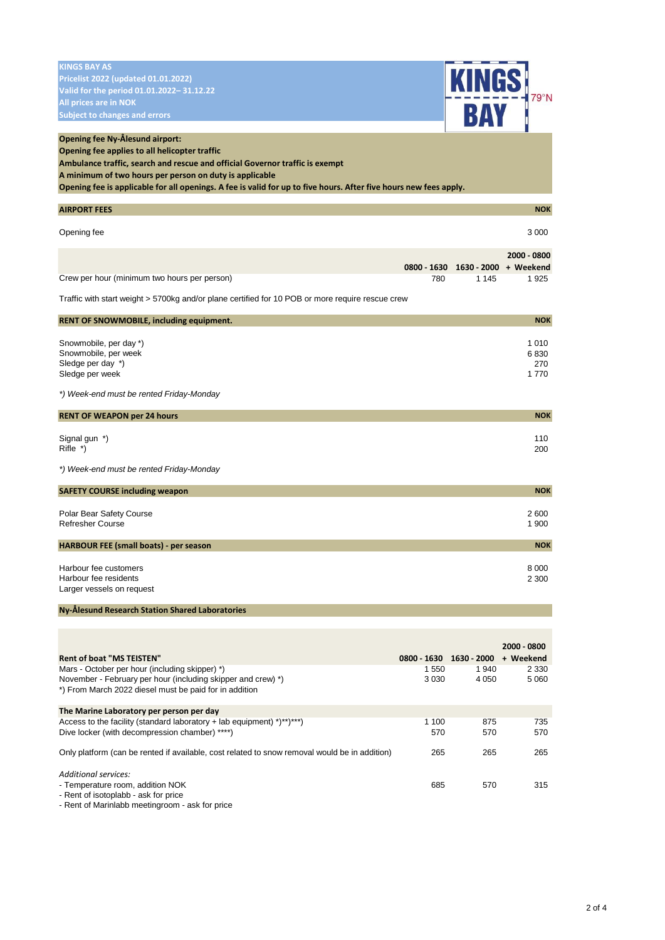| <b>KINGS BAY AS</b>                                                                                                          |                    |                         |                          |
|------------------------------------------------------------------------------------------------------------------------------|--------------------|-------------------------|--------------------------|
| <b>Pricelist 2022 (updated 01.01.2022)</b><br>Valid for the period 01.01.2022-31.12.22                                       |                    |                         |                          |
| All prices are in NOK                                                                                                        |                    |                         |                          |
| <b>Subject to changes and errors</b>                                                                                         |                    | <b>KINGS</b>            |                          |
|                                                                                                                              |                    |                         |                          |
| <b>Opening fee Ny-Ålesund airport:</b><br>Opening fee applies to all helicopter traffic                                      |                    |                         |                          |
| Ambulance traffic, search and rescue and official Governor traffic is exempt                                                 |                    |                         |                          |
| A minimum of two hours per person on duty is applicable                                                                      |                    |                         |                          |
| Opening fee is applicable for all openings. A fee is valid for up to five hours. After five hours new fees apply.            |                    |                         |                          |
| <b>AIRPORT FEES</b>                                                                                                          |                    |                         | <b>NOK</b>               |
| Opening fee                                                                                                                  |                    |                         | 3 0 0 0                  |
|                                                                                                                              |                    |                         |                          |
|                                                                                                                              |                    |                         | 2000 - 0800              |
| Crew per hour (minimum two hours per person)                                                                                 | 0800 - 1630<br>780 | 1630 - 2000<br>1 1 4 5  | + Weekend<br>1925        |
|                                                                                                                              |                    |                         |                          |
| Traffic with start weight > 5700kg and/or plane certified for 10 POB or more require rescue crew                             |                    |                         |                          |
| <b>RENT OF SNOWMOBILE, including equipment.</b>                                                                              |                    |                         | <b>NOK</b>               |
| Snowmobile, per day *)                                                                                                       |                    |                         | 1 0 1 0                  |
| Snowmobile, per week                                                                                                         |                    |                         | 6830                     |
| Sledge per day *)                                                                                                            |                    |                         | 270                      |
| Sledge per week                                                                                                              |                    |                         | 1 7 7 0                  |
| *) Week-end must be rented Friday-Monday                                                                                     |                    |                         |                          |
| <b>RENT OF WEAPON per 24 hours</b>                                                                                           |                    |                         | <b>NOK</b>               |
| Signal gun *)                                                                                                                |                    |                         | 110                      |
| Rifle *)                                                                                                                     |                    |                         | 200                      |
| *) Week-end must be rented Friday-Monday                                                                                     |                    |                         |                          |
|                                                                                                                              |                    |                         |                          |
| <b>SAFETY COURSE including weapon</b>                                                                                        |                    |                         | <b>NOK</b>               |
| Polar Bear Safety Course                                                                                                     |                    |                         | 2600                     |
| Refresher Course                                                                                                             |                    |                         | 1 900                    |
| <b>HARBOUR FEE (small boats) - per season</b>                                                                                |                    |                         | <b>NOK</b>               |
|                                                                                                                              |                    |                         |                          |
| Harbour fee customers<br>Harbour fee residents                                                                               |                    |                         | 8 0 0 0<br>2 3 0 0       |
| Larger vessels on request                                                                                                    |                    |                         |                          |
| Ny-Ålesund Research Station Shared Laboratories                                                                              |                    |                         |                          |
|                                                                                                                              |                    |                         |                          |
|                                                                                                                              |                    |                         |                          |
| <b>Rent of boat "MS TEISTEN"</b>                                                                                             |                    | 0800 - 1630 1630 - 2000 | 2000 - 0800<br>+ Weekend |
| Mars - October per hour (including skipper) *)                                                                               | 1 550              | 1940                    | 2 3 3 0                  |
| November - February per hour (including skipper and crew) *)                                                                 | 3 0 3 0            | 4 0 5 0                 | 5 0 6 0                  |
| *) From March 2022 diesel must be paid for in addition                                                                       |                    |                         |                          |
| The Marine Laboratory per person per day                                                                                     |                    |                         |                          |
| Access to the facility (standard laboratory + lab equipment) $(*)$ **)***)<br>Dive locker (with decompression chamber) ****) | 1 100<br>570       | 875<br>570              | 735<br>570               |
|                                                                                                                              |                    |                         |                          |
| Only platform (can be rented if available, cost related to snow removal would be in addition)                                | 265                | 265                     | 265                      |
| Additional services:                                                                                                         |                    |                         |                          |
| - Temperature room, addition NOK                                                                                             | 685                | 570                     | 315                      |
| - Rent of isotoplabb - ask for price                                                                                         |                    |                         |                          |

- Rent of Marinlabb meetingroom - ask for price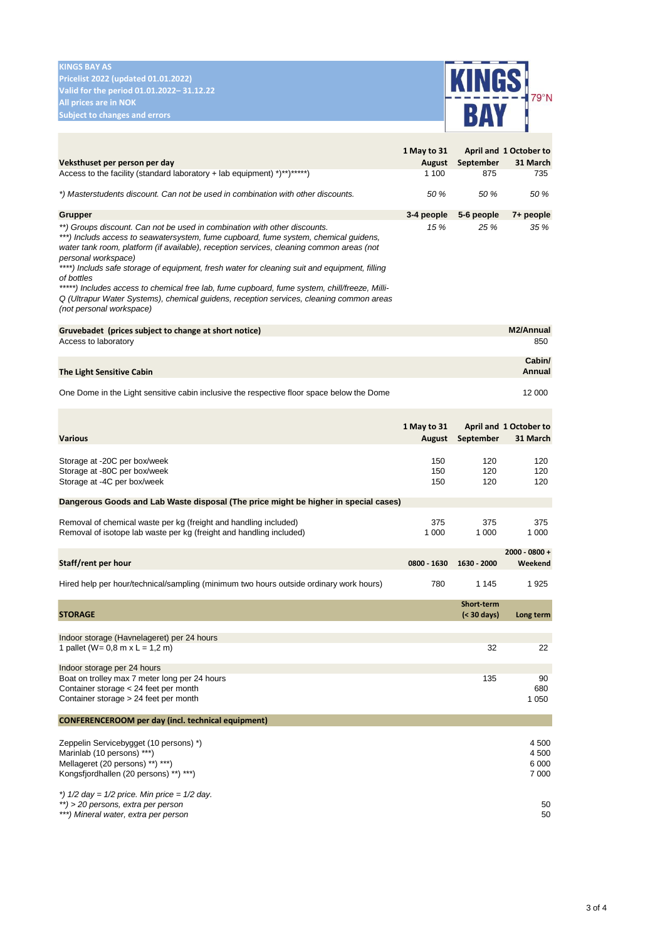## **KINGS BAY AS**

**Pricelist 2022 (updated 01.01.2022) Valid for the period 01.01.2022– 31.12.22 All prices are in NOK**



|                                                                                                                                                                                                                                                                                                                                                                                                                                                                                                                                                                                                                                               | 1 May to 31           |                                  | April and 1 October to               |
|-----------------------------------------------------------------------------------------------------------------------------------------------------------------------------------------------------------------------------------------------------------------------------------------------------------------------------------------------------------------------------------------------------------------------------------------------------------------------------------------------------------------------------------------------------------------------------------------------------------------------------------------------|-----------------------|----------------------------------|--------------------------------------|
| Veksthuset per person per day<br>Access to the facility (standard laboratory + lab equipment) *)**)******)                                                                                                                                                                                                                                                                                                                                                                                                                                                                                                                                    | August<br>1 100       | September<br>875                 | 31 March<br>735                      |
| *) Masterstudents discount. Can not be used in combination with other discounts.                                                                                                                                                                                                                                                                                                                                                                                                                                                                                                                                                              | 50 %                  | 50 %                             | 50 %                                 |
|                                                                                                                                                                                                                                                                                                                                                                                                                                                                                                                                                                                                                                               |                       |                                  |                                      |
| <b>Grupper</b><br>**) Groups discount. Can not be used in combination with other discounts.<br>***) Includs access to seawatersystem, fume cupboard, fume system, chemical guidens,<br>water tank room, platform (if available), reception services, cleaning common areas (not<br>personal workspace)<br>****) Includs safe storage of equipment, fresh water for cleaning suit and equipment, filling<br>of bottles<br>*****) Includes access to chemical free lab, fume cupboard, fume system, chill/freeze, Milli-<br>Q (Ultrapur Water Systems), chemical guidens, reception services, cleaning common areas<br>(not personal workspace) | 3-4 people<br>15 %    | 5-6 people<br>25 %               | 7+ people<br>35 %                    |
| Gruvebadet (prices subject to change at short notice)<br>Access to laboratory                                                                                                                                                                                                                                                                                                                                                                                                                                                                                                                                                                 |                       |                                  | M2/Annual<br>850                     |
| The Light Sensitive Cabin                                                                                                                                                                                                                                                                                                                                                                                                                                                                                                                                                                                                                     |                       |                                  | Cabin/<br>Annual                     |
| One Dome in the Light sensitive cabin inclusive the respective floor space below the Dome                                                                                                                                                                                                                                                                                                                                                                                                                                                                                                                                                     |                       |                                  | 12 000                               |
| <b>Various</b>                                                                                                                                                                                                                                                                                                                                                                                                                                                                                                                                                                                                                                | 1 May to 31<br>August | September                        | April and 1 October to<br>31 March   |
| Storage at -20C per box/week<br>Storage at -80C per box/week<br>Storage at -4C per box/week                                                                                                                                                                                                                                                                                                                                                                                                                                                                                                                                                   | 150<br>150<br>150     | 120<br>120<br>120                | 120<br>120<br>120                    |
| Dangerous Goods and Lab Waste disposal (The price might be higher in special cases)                                                                                                                                                                                                                                                                                                                                                                                                                                                                                                                                                           |                       |                                  |                                      |
| Removal of chemical waste per kg (freight and handling included)<br>Removal of isotope lab waste per kg (freight and handling included)                                                                                                                                                                                                                                                                                                                                                                                                                                                                                                       | 375<br>1 0 0 0        | 375<br>1 000                     | 375<br>1 000                         |
| Staff/rent per hour                                                                                                                                                                                                                                                                                                                                                                                                                                                                                                                                                                                                                           | 0800 - 1630           | 1630 - 2000                      | 2000 - 0800 +<br>Weekend             |
| Hired help per hour/technical/sampling (minimum two hours outside ordinary work hours)                                                                                                                                                                                                                                                                                                                                                                                                                                                                                                                                                        | 780                   | 1 1 4 5                          | 1925                                 |
| <b>STORAGE</b>                                                                                                                                                                                                                                                                                                                                                                                                                                                                                                                                                                                                                                |                       | <b>Short-term</b><br>(< 30 days) | Long term                            |
| Indoor storage (Havnelageret) per 24 hours<br>1 pallet ( $W = 0.8$ m x L = 1.2 m)                                                                                                                                                                                                                                                                                                                                                                                                                                                                                                                                                             |                       | 32                               | 22                                   |
| Indoor storage per 24 hours<br>Boat on trolley max 7 meter long per 24 hours<br>Container storage < 24 feet per month<br>Container storage > 24 feet per month                                                                                                                                                                                                                                                                                                                                                                                                                                                                                |                       | 135                              | 90<br>680<br>1 0 5 0                 |
| <b>CONFERENCEROOM per day (incl. technical equipment)</b>                                                                                                                                                                                                                                                                                                                                                                                                                                                                                                                                                                                     |                       |                                  |                                      |
| Zeppelin Servicebygget (10 persons) *)<br>Marinlab (10 persons) ***)<br>Mellageret (20 persons) **) ***)<br>Kongsfjordhallen (20 persons) **) ***)                                                                                                                                                                                                                                                                                                                                                                                                                                                                                            |                       |                                  | 4 500<br>4 500<br>6 0 0 0<br>7 0 0 0 |
| *) $1/2$ day = $1/2$ price. Min price = $1/2$ day.<br>**) > 20 persons, extra per person<br>***) Mineral water, extra per person                                                                                                                                                                                                                                                                                                                                                                                                                                                                                                              |                       |                                  | 50<br>50                             |